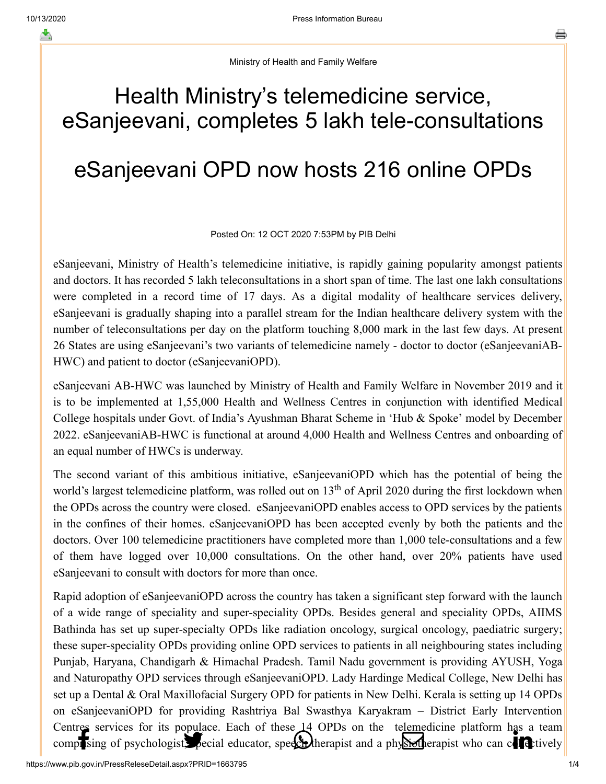Ministry of Health and Family Welfare

## Health Ministry's telemedicine service, eSanjeevani, completes 5 lakh tele-consultations

## eSanjeevani OPD now hosts 216 online OPDs

## Posted On: 12 OCT 2020 7:53PM by PIB Delhi

eSanjeevani, Ministry of Health's telemedicine initiative, is rapidly gaining popularity amongst patients and doctors. It has recorded 5 lakh teleconsultations in a short span of time. The last one lakh consultations were completed in a record time of 17 days. As a digital modality of healthcare services delivery, eSanjeevani is gradually shaping into a parallel stream for the Indian healthcare delivery system with the number of teleconsultations per day on the platform touching 8,000 mark in the last few days. At present 26 States are using eSanjeevani's two variants of telemedicine namely - doctor to doctor (eSanjeevaniAB-HWC) and patient to doctor (eSanjeevaniOPD).

eSanjeevani AB-HWC was launched by Ministry of Health and Family Welfare in November 2019 and it is to be implemented at 1,55,000 Health and Wellness Centres in conjunction with identified Medical College hospitals under Govt. of India's Ayushman Bharat Scheme in 'Hub & Spoke' model by December 2022. eSanjeevaniAB-HWC is functional at around 4,000 Health and Wellness Centres and onboarding of an equal number of HWCs is underway.

The second variant of this ambitious initiative, eSanjeevaniOPD which has the potential of being the world's largest telemedicine platform, was rolled out on  $13<sup>th</sup>$  of April 2020 during the first lockdown when the OPDs across the country were closed. eSanjeevaniOPD enables access to OPD services by the patients in the confines of their homes. eSanjeevaniOPD has been accepted evenly by both the patients and the doctors. Over 100 telemedicine practitioners have completed more than 1,000 tele-consultations and a few of them have logged over 10,000 consultations. On the other hand, over 20% patients have used eSanjeevani to consult with doctors for more than once.

Rapid adoption of eSanjeevaniOPD across the country has taken a significant step forward with the launch of a wide range of speciality and super-speciality OPDs. Besides general and speciality OPDs, AIIMS Bathinda has set up super-specialty OPDs like radiation oncology, surgical oncology, paediatric surgery; these super-speciality OPDs providing online OPD services to patients in all neighbouring states including Punjab, Haryana, Chandigarh & Himachal Pradesh. Tamil Nadu government is providing AYUSH, Yoga and Naturopathy OPD services through eSanjeevaniOPD. Lady Hardinge Medical College, New Delhi has set up a Dental & Oral Maxillofacial Surgery OPD for patients in New Delhi. Kerala is setting up 14 OPDs on eSanjeevaniOPD for providing Rashtriya Bal Swasthya Karyakram – District Early Intervention [Centres services](http://www.facebook.com/share.php?u=https://pib.gov.in/PressReleasePage.aspx?PRID=1663795) [for its populace. Each](https://twitter.com/intent/tweet?url=https://pib.gov.in/PressReleasePage.aspx?PRID=1663795&text=Health%20Ministry%E2%80%99s%20telemedicine%20service,%20eSanjeevani,%20completes%205%20lakh%20tele-consultations) [of these 14 OPDs o](https://api.whatsapp.com/send?text=https://pib.gov.in/PressReleasePage.aspx?PRID=1663795)[n the telemedicine p](https://mail.google.com/mail/?view=cm&fs=1&tf=1&to=&su=Health%20Ministry%E2%80%99s%20telemedicine%20service,%20eSanjeevani,%20completes%205%20lakh%20tele-consultations&body=https://pib.gov.in/PressReleasePage.aspx?PRID=1663795&ui=2&tf=1&pli=1)[latform has a team](https://www.linkedin.com/shareArticle?mini=true&url=https://pib.gov.in/PressReleasePage.aspx?PRID=1663795&title=Health%20Ministry%E2%80%99s%20telemedicine%20service,%20eSanjeevani,%20completes%205%20lakh%20tele-consultations&summary=My%20favorite%20developer%20program&source=LinkedIn) comprising of psychologist, pecial educator, speech therapist and a physiotherapist who can conditively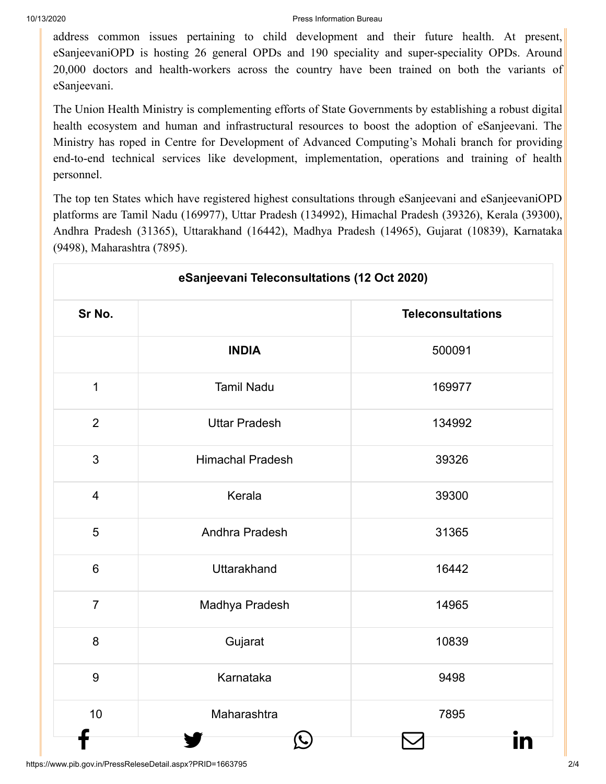[address common](http://www.facebook.com/share.php?u=https://pib.gov.in/PressReleasePage.aspx?PRID=1663795) [issues pertaining t](https://twitter.com/intent/tweet?url=https://pib.gov.in/PressReleasePage.aspx?PRID=1663795&text=Health%20Ministry%E2%80%99s%20telemedicine%20service,%20eSanjeevani,%20completes%205%20lakh%20tele-consultations)[o child development](https://api.whatsapp.com/send?text=https://pib.gov.in/PressReleasePage.aspx?PRID=1663795) [and their future h](https://mail.google.com/mail/?view=cm&fs=1&tf=1&to=&su=Health%20Ministry%E2%80%99s%20telemedicine%20service,%20eSanjeevani,%20completes%205%20lakh%20tele-consultations&body=https://pib.gov.in/PressReleasePage.aspx?PRID=1663795&ui=2&tf=1&pli=1)[ealth. At present,](https://www.linkedin.com/shareArticle?mini=true&url=https://pib.gov.in/PressReleasePage.aspx?PRID=1663795&title=Health%20Ministry%E2%80%99s%20telemedicine%20service,%20eSanjeevani,%20completes%205%20lakh%20tele-consultations&summary=My%20favorite%20developer%20program&source=LinkedIn) eSanjeevaniOPD is hosting 26 general OPDs and 190 speciality and super-speciality OPDs. Around 20,000 doctors and health-workers across the country have been trained on both the variants of eSanjeevani.

The Union Health Ministry is complementing efforts of State Governments by establishing a robust digital health ecosystem and human and infrastructural resources to boost the adoption of eSanjeevani. The Ministry has roped in Centre for Development of Advanced Computing's Mohali branch for providing end-to-end technical services like development, implementation, operations and training of health personnel.

The top ten States which have registered highest consultations through eSanjeevani and eSanjeevaniOPD platforms are Tamil Nadu (169977), Uttar Pradesh (134992), Himachal Pradesh (39326), Kerala (39300), Andhra Pradesh (31365), Uttarakhand (16442), Madhya Pradesh (14965), Gujarat (10839), Karnataka (9498), Maharashtra (7895).

| eSanjeevani Teleconsultations (12 Oct 2020) |                         |                          |
|---------------------------------------------|-------------------------|--------------------------|
| Sr No.                                      |                         | <b>Teleconsultations</b> |
|                                             | <b>INDIA</b>            | 500091                   |
| $\mathbf{1}$                                | <b>Tamil Nadu</b>       | 169977                   |
| $\overline{2}$                              | <b>Uttar Pradesh</b>    | 134992                   |
| 3                                           | <b>Himachal Pradesh</b> | 39326                    |
| $\overline{4}$                              | Kerala                  | 39300                    |
| 5                                           | Andhra Pradesh          | 31365                    |
| $6\phantom{a}$                              | <b>Uttarakhand</b>      | 16442                    |
| $\overline{7}$                              | Madhya Pradesh          | 14965                    |
| 8                                           | Gujarat                 | 10839                    |
| 9                                           | Karnataka               | 9498                     |
| 10                                          | Maharashtra             | 7895                     |
|                                             |                         |                          |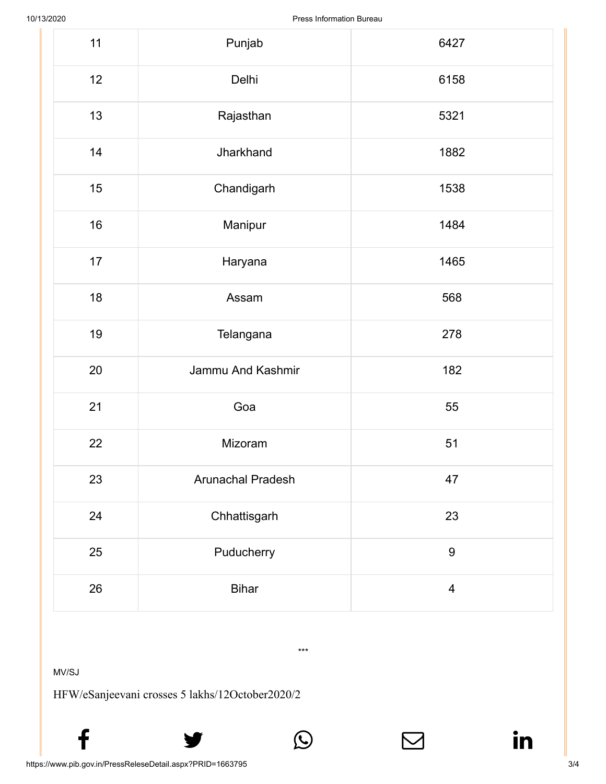| 11 | Punjab            | 6427             |
|----|-------------------|------------------|
| 12 | Delhi             | 6158             |
| 13 | Rajasthan         | 5321             |
| 14 | Jharkhand         | 1882             |
| 15 | Chandigarh        | 1538             |
| 16 | Manipur           | 1484             |
| 17 | Haryana           | 1465             |
| 18 | Assam             | 568              |
| 19 | Telangana         | 278              |
| 20 | Jammu And Kashmir | 182              |
| 21 | Goa               | 55               |
| 22 | Mizoram           | 51               |
| 23 | Arunachal Pradesh | 47               |
| 24 | Chhattisgarh      | 23               |
| 25 | Puducherry        | $\boldsymbol{9}$ |
| 26 | <b>Bihar</b>      | $\overline{4}$   |

\*\*\*

 $f$  y  $\circledcirc$   $\quad \circ$  in

MV/SJ

HFW/eSanjeevani crosses 5 lakhs/12October2020/2